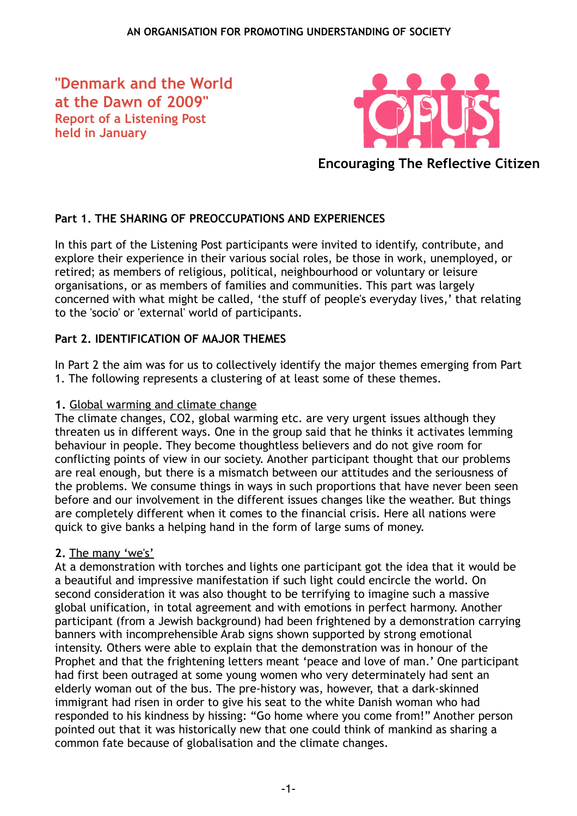**"Denmark and the World at the Dawn of 2009" Report of a Listening Post held in January**



**Encouraging The Reflective Citizen**

# **Part 1. THE SHARING OF PREOCCUPATIONS AND EXPERIENCES**

In this part of the Listening Post participants were invited to identify, contribute, and explore their experience in their various social roles, be those in work, unemployed, or retired; as members of religious, political, neighbourhood or voluntary or leisure organisations, or as members of families and communities. This part was largely concerned with what might be called, 'the stuff of people's everyday lives,' that relating to the 'socio' or 'external' world of participants.

## **Part 2. IDENTIFICATION OF MAJOR THEMES**

In Part 2 the aim was for us to collectively identify the major themes emerging from Part 1. The following represents a clustering of at least some of these themes.

## **1.** Global warming and climate change

The climate changes, CO2, global warming etc. are very urgent issues although they threaten us in different ways. One in the group said that he thinks it activates lemming behaviour in people. They become thoughtless believers and do not give room for conflicting points of view in our society. Another participant thought that our problems are real enough, but there is a mismatch between our attitudes and the seriousness of the problems. We consume things in ways in such proportions that have never been seen before and our involvement in the different issues changes like the weather. But things are completely different when it comes to the financial crisis. Here all nations were quick to give banks a helping hand in the form of large sums of money.

## **2.** The many 'we's'

At a demonstration with torches and lights one participant got the idea that it would be a beautiful and impressive manifestation if such light could encircle the world. On second consideration it was also thought to be terrifying to imagine such a massive global unification, in total agreement and with emotions in perfect harmony. Another participant (from a Jewish background) had been frightened by a demonstration carrying banners with incomprehensible Arab signs shown supported by strong emotional intensity. Others were able to explain that the demonstration was in honour of the Prophet and that the frightening letters meant 'peace and love of man.' One participant had first been outraged at some young women who very determinately had sent an elderly woman out of the bus. The pre-history was, however, that a dark-skinned immigrant had risen in order to give his seat to the white Danish woman who had responded to his kindness by hissing: "Go home where you come from!" Another person pointed out that it was historically new that one could think of mankind as sharing a common fate because of globalisation and the climate changes.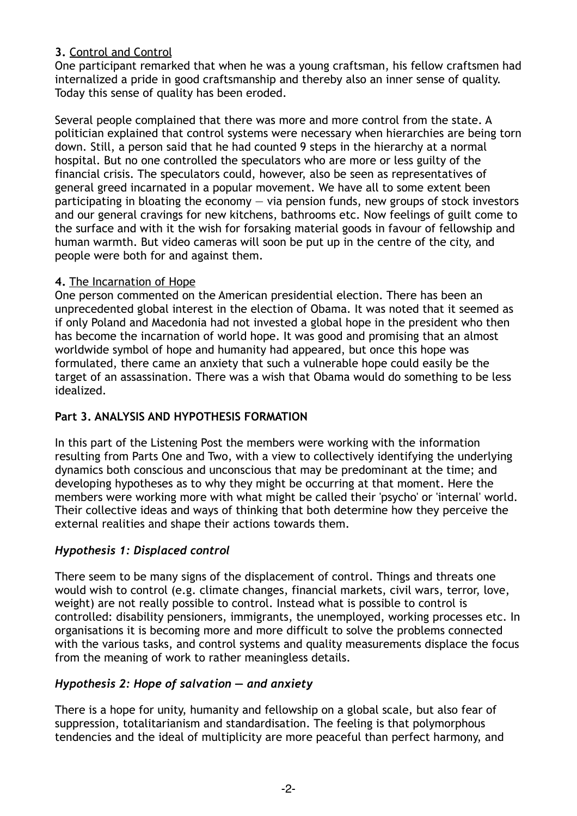## **3.** Control and Control

One participant remarked that when he was a young craftsman, his fellow craftsmen had internalized a pride in good craftsmanship and thereby also an inner sense of quality. Today this sense of quality has been eroded.

Several people complained that there was more and more control from the state. A politician explained that control systems were necessary when hierarchies are being torn down. Still, a person said that he had counted 9 steps in the hierarchy at a normal hospital. But no one controlled the speculators who are more or less guilty of the financial crisis. The speculators could, however, also be seen as representatives of general greed incarnated in a popular movement. We have all to some extent been participating in bloating the economy — via pension funds, new groups of stock investors and our general cravings for new kitchens, bathrooms etc. Now feelings of guilt come to the surface and with it the wish for forsaking material goods in favour of fellowship and human warmth. But video cameras will soon be put up in the centre of the city, and people were both for and against them.

#### **4.** The Incarnation of Hope

One person commented on the American presidential election. There has been an unprecedented global interest in the election of Obama. It was noted that it seemed as if only Poland and Macedonia had not invested a global hope in the president who then has become the incarnation of world hope. It was good and promising that an almost worldwide symbol of hope and humanity had appeared, but once this hope was formulated, there came an anxiety that such a vulnerable hope could easily be the target of an assassination. There was a wish that Obama would do something to be less idealized.

## **Part 3. ANALYSIS AND HYPOTHESIS FORMATION**

In this part of the Listening Post the members were working with the information resulting from Parts One and Two, with a view to collectively identifying the underlying dynamics both conscious and unconscious that may be predominant at the time; and developing hypotheses as to why they might be occurring at that moment. Here the members were working more with what might be called their 'psycho' or 'internal' world. Their collective ideas and ways of thinking that both determine how they perceive the external realities and shape their actions towards them.

## *Hypothesis 1: Displaced control*

There seem to be many signs of the displacement of control. Things and threats one would wish to control (e.g. climate changes, financial markets, civil wars, terror, love, weight) are not really possible to control. Instead what is possible to control is controlled: disability pensioners, immigrants, the unemployed, working processes etc. In organisations it is becoming more and more difficult to solve the problems connected with the various tasks, and control systems and quality measurements displace the focus from the meaning of work to rather meaningless details.

## *Hypothesis 2: Hope of salvation — and anxiety*

There is a hope for unity, humanity and fellowship on a global scale, but also fear of suppression, totalitarianism and standardisation. The feeling is that polymorphous tendencies and the ideal of multiplicity are more peaceful than perfect harmony, and